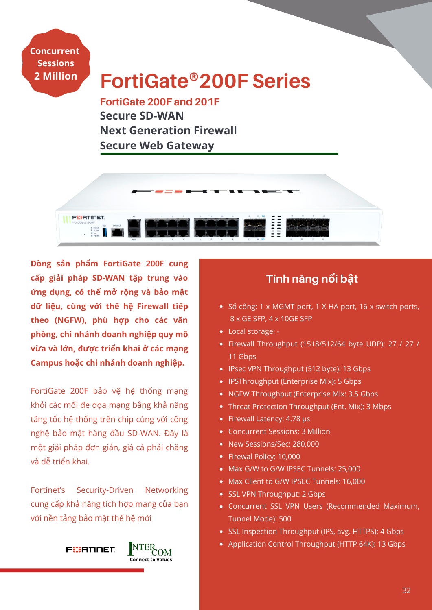**Concurrent Sessions 2 Million**

## **FortiGate®200F Series**

**FortiGate 200F and 201F Secure SD-WAN Next Generation Firewall Secure Web Gateway**



**Dòng sản phẩm FortiGate 200F cung cấp giải pháp SD-WAN tập trung vào ứng dụng, có thể mở rộng và bảo mật dữ liệu, cùng với thế hệ Firewall tiếp theo (NGFW), phù hợp cho các văn phòng, chi nhánh doanh nghiệp quy mô vừa và lớn, được triển khai ở các mạng Campus hoặc chi nhánh doanh nghiệp.**

FortiGate 200F bảo vệ hệ thống mạng khỏi các mối đe dọa mạng bằng khả năng tăng tốc hệ thống trên chip cùng với công nghệ bảo mật hàng đầu SD-WAN. Đây là một giải pháp đơn giản, giá cả phải chăng và dễ triển khai.

Fortinet's Security-Driven Networking cung cấp khả năng tích hợp mạng của bạn với nền tảng bảo mật thế hệ mới





- Số cổng: 1 x MGMT port, 1 X HA port, 16 x switch ports, 8 x GE SFP, 4 x 10GE SFP
- Local storage: -
- Firewall Throughput (1518/512/64 byte UDP): 27 / 27 / 11 Gbps
- IPsec VPN Throughput (512 byte): 13 Gbps
- IPSThroughput (Enterprise Mix): 5 Gbps
- NGFW Throughput (Enterprise Mix: 3.5 Gbps)
- Threat Protection Throughput (Ent. Mix): 3 Mbps
- Firewall Latency: 4.78 μs
- Concurrent Sessions: 3 Million
- New Sessions/Sec: 280,000
- Firewal Policy: 10,000
- Max G/W to G/W IPSEC Tunnels: 25,000
- Max Client to G/W IPSEC Tunnels: 16,000
- SSL VPN Throughput: 2 Gbps
- Concurrent SSL VPN Users (Recommended Maximum, Tunnel Mode): 500
- SSL Inspection Throughput (IPS, avg. HTTPS): 4 Gbps
- Application Control Throughput (HTTP 64K): 13 Gbps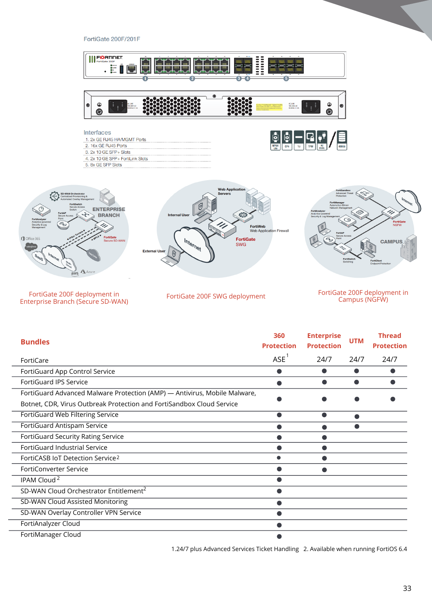FortiGate 200F/201F



## Interfaces

- 1. 2x GE RJ45 HA/MGMT Ports
- 2. 16x GE RJ45 Ports
- 3. 2x 10 GE SFP+ Slots
- 4. 2x 10 GE SFP+ FortiLink Slots
- 5. 8x GE SFP Slots





FortiGate 200F deployment in Enterprise Branch (Secure SD-WAN)



Web Applica



## FortiGate 200F SWG deployment FortiGate 200F deployment in Campus (NGFW)

| <b>Bundles</b>                                                            | 360<br><b>Protection</b> | <b>Enterprise</b><br><b>Protection</b> | <b>UTM</b> | <b>Thread</b><br><b>Protection</b> |
|---------------------------------------------------------------------------|--------------------------|----------------------------------------|------------|------------------------------------|
| FortiCare                                                                 | <b>ASE</b>               | 24/7                                   | 24/7       | 24/7                               |
| FortiGuard App Control Service                                            |                          |                                        |            |                                    |
| FortiGuard IPS Service                                                    | a                        |                                        |            |                                    |
| FortiGuard Advanced Malware Protection (AMP) - Antivirus, Mobile Malware, |                          |                                        |            |                                    |
| Botnet, CDR, Virus Outbreak Protection and FortiSandbox Cloud Service     |                          |                                        |            |                                    |
| FortiGuard Web Filtering Service                                          | O                        | Ð                                      |            |                                    |
| FortiGuard Antispam Service                                               |                          |                                        |            |                                    |
| FortiGuard Security Rating Service                                        |                          |                                        |            |                                    |
| FortiGuard Industrial Service                                             |                          |                                        |            |                                    |
| FortiCASB IoT Detection Service <sup>2</sup>                              |                          |                                        |            |                                    |
| FortiConverter Service                                                    |                          |                                        |            |                                    |
| IPAM Cloud <sup>2</sup>                                                   |                          |                                        |            |                                    |
| SD-WAN Cloud Orchestrator Entitlement <sup>2</sup>                        |                          |                                        |            |                                    |
| SD-WAN Cloud Assisted Monitoring                                          |                          |                                        |            |                                    |
| SD-WAN Overlay Controller VPN Service                                     |                          |                                        |            |                                    |
| FortiAnalyzer Cloud                                                       |                          |                                        |            |                                    |
| FortiManager Cloud                                                        |                          |                                        |            |                                    |

1.24/7 plus Advanced Services Ticket Handling 2. Available when running FortiOS 6.4